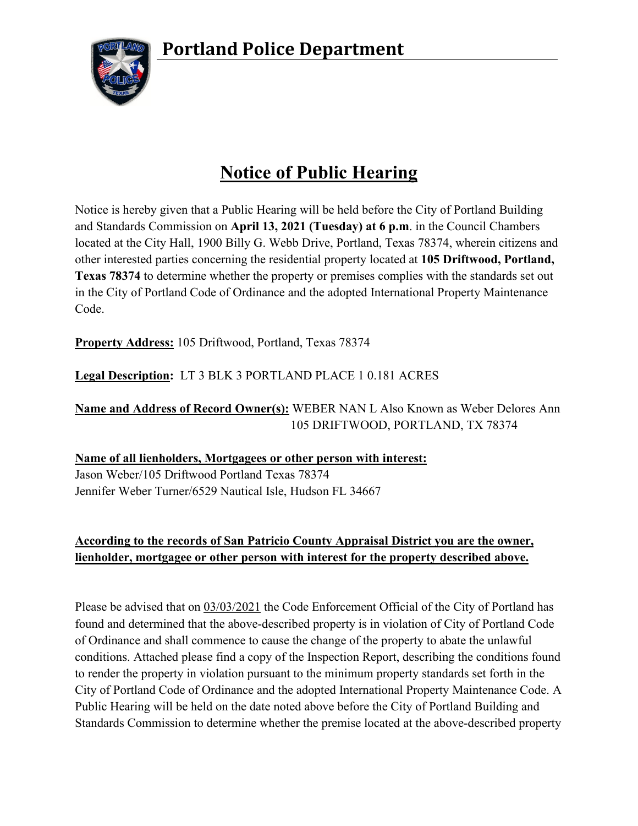**Portland Police Department**



## **Notice of Public Hearing**

Notice is hereby given that a Public Hearing will be held before the City of Portland Building and Standards Commission on **April 13, 2021 (Tuesday) at 6 p.m**. in the Council Chambers located at the City Hall, 1900 Billy G. Webb Drive, Portland, Texas 78374, wherein citizens and other interested parties concerning the residential property located at **105 Driftwood, Portland, Texas 78374** to determine whether the property or premises complies with the standards set out in the City of Portland Code of Ordinance and the adopted International Property Maintenance Code.

**Property Address:** 105 Driftwood, Portland, Texas 78374

**Legal Description:** LT 3 BLK 3 PORTLAND PLACE 1 0.181 ACRES

**Name and Address of Record Owner(s):** WEBER NAN L Also Known as Weber Delores Ann 105 DRIFTWOOD, PORTLAND, TX 78374

**Name of all lienholders, Mortgagees or other person with interest:** Jason Weber/105 Driftwood Portland Texas 78374 Jennifer Weber Turner/6529 Nautical Isle, Hudson FL 34667

## **According to the records of San Patricio County Appraisal District you are the owner, lienholder, mortgagee or other person with interest for the property described above.**

Please be advised that on 03/03/2021 the Code Enforcement Official of the City of Portland has found and determined that the above-described property is in violation of City of Portland Code of Ordinance and shall commence to cause the change of the property to abate the unlawful conditions. Attached please find a copy of the Inspection Report, describing the conditions found to render the property in violation pursuant to the minimum property standards set forth in the City of Portland Code of Ordinance and the adopted International Property Maintenance Code. A Public Hearing will be held on the date noted above before the City of Portland Building and Standards Commission to determine whether the premise located at the above-described property